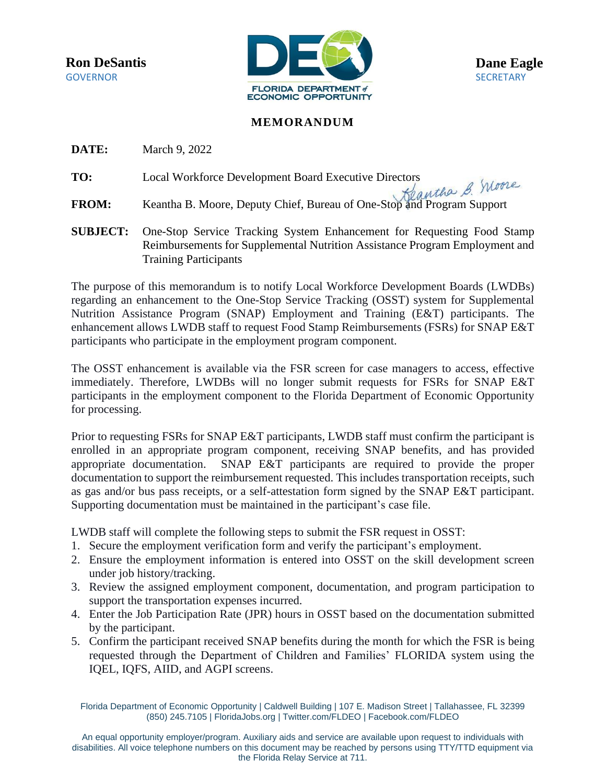

## **MEMORANDUM**

**DATE:** March 9, 2022

- **TO:** Local Workforce Development Board Executive Directors
- **FROM:** Keantha B. Moore, Deputy Chief, Bureau of One-Stop and Program Support
- **SUBJECT:** One-Stop Service Tracking System Enhancement for Requesting Food Stamp Reimbursements for Supplemental Nutrition Assistance Program Employment and Training Participants

The purpose of this memorandum is to notify Local Workforce Development Boards (LWDBs) regarding an enhancement to the One-Stop Service Tracking (OSST) system for Supplemental Nutrition Assistance Program (SNAP) Employment and Training (E&T) participants. The enhancement allows LWDB staff to request Food Stamp Reimbursements (FSRs) for SNAP E&T participants who participate in the employment program component.

The OSST enhancement is available via the FSR screen for case managers to access, effective immediately. Therefore, LWDBs will no longer submit requests for FSRs for SNAP E&T participants in the employment component to the Florida Department of Economic Opportunity for processing.

Prior to requesting FSRs for SNAP E&T participants, LWDB staff must confirm the participant is enrolled in an appropriate program component, receiving SNAP benefits, and has provided appropriate documentation. SNAP E&T participants are required to provide the proper documentation to support the reimbursement requested. This includes transportation receipts, such as gas and/or bus pass receipts, or a self-attestation form signed by the SNAP E&T participant. Supporting documentation must be maintained in the participant's case file.

LWDB staff will complete the following steps to submit the FSR request in OSST:

- 1. Secure the employment verification form and verify the participant's employment.
- 2. Ensure the employment information is entered into OSST on the skill development screen under job history/tracking.
- 3. Review the assigned employment component, documentation, and program participation to support the transportation expenses incurred.
- 4. Enter the Job Participation Rate (JPR) hours in OSST based on the documentation submitted by the participant.
- 5. Confirm the participant received SNAP benefits during the month for which the FSR is being requested through the Department of Children and Families' FLORIDA system using the IQEL, IQFS, AIID, and AGPI screens.

Florida Department of Economic Opportunity | Caldwell Building | 107 E. Madison Street | Tallahassee, FL 32399 (850) 245.7105 [| FloridaJobs.org](http://www.floridajobs.org/) | Twitter.com/FLDEO | Facebook.com/FLDEO

An equal opportunity employer/program. Auxiliary aids and service are available upon request to individuals with disabilities. All voice telephone numbers on this document may be reached by persons using TTY/TTD equipment via the Florida Relay Service at 711.